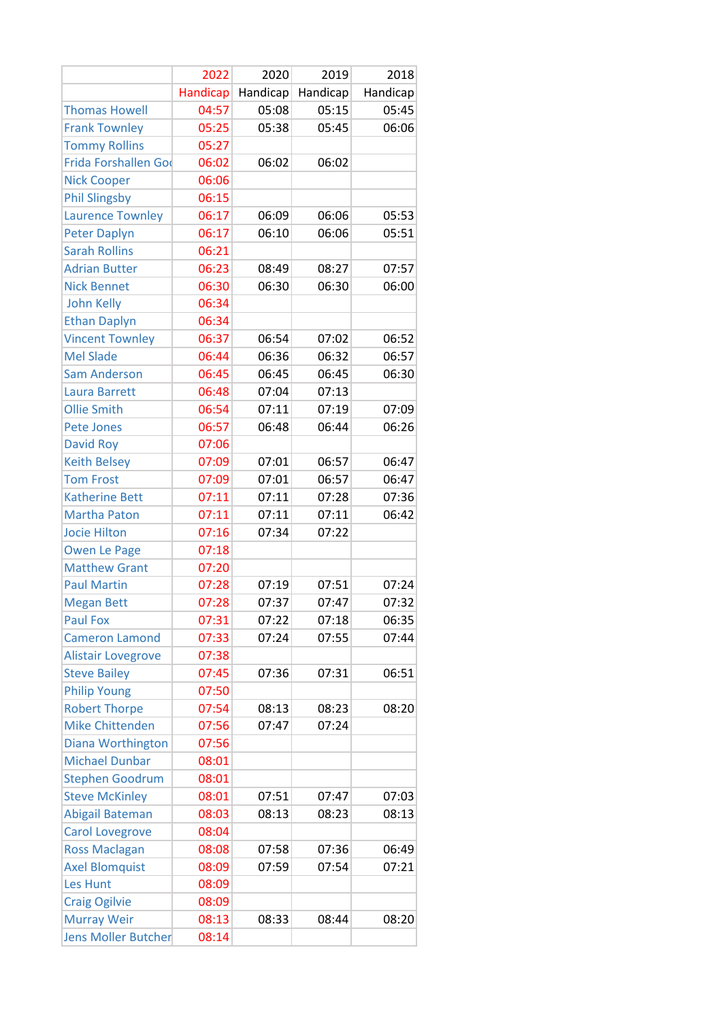|                           | 2022     | 2020     | 2019     | 2018     |
|---------------------------|----------|----------|----------|----------|
|                           | Handicap | Handicap | Handicap | Handicap |
| <b>Thomas Howell</b>      | 04:57    | 05:08    | 05:15    | 05:45    |
| <b>Frank Townley</b>      | 05:25    | 05:38    | 05:45    | 06:06    |
| <b>Tommy Rollins</b>      | 05:27    |          |          |          |
| Frida Forshallen God      | 06:02    | 06:02    | 06:02    |          |
| <b>Nick Cooper</b>        | 06:06    |          |          |          |
| <b>Phil Slingsby</b>      | 06:15    |          |          |          |
| <b>Laurence Townley</b>   | 06:17    | 06:09    | 06:06    | 05:53    |
| <b>Peter Daplyn</b>       | 06:17    | 06:10    | 06:06    | 05:51    |
| <b>Sarah Rollins</b>      | 06:21    |          |          |          |
| <b>Adrian Butter</b>      | 06:23    | 08:49    | 08:27    | 07:57    |
| <b>Nick Bennet</b>        | 06:30    | 06:30    | 06:30    | 06:00    |
| <b>John Kelly</b>         | 06:34    |          |          |          |
| <b>Ethan Daplyn</b>       | 06:34    |          |          |          |
| <b>Vincent Townley</b>    | 06:37    | 06:54    | 07:02    | 06:52    |
| <b>Mel Slade</b>          | 06:44    | 06:36    | 06:32    | 06:57    |
| <b>Sam Anderson</b>       | 06:45    | 06:45    | 06:45    | 06:30    |
| Laura Barrett             | 06:48    | 07:04    | 07:13    |          |
| <b>Ollie Smith</b>        | 06:54    | 07:11    | 07:19    | 07:09    |
| <b>Pete Jones</b>         | 06:57    | 06:48    | 06:44    | 06:26    |
| <b>David Roy</b>          | 07:06    |          |          |          |
| <b>Keith Belsey</b>       | 07:09    | 07:01    | 06:57    | 06:47    |
| <b>Tom Frost</b>          | 07:09    | 07:01    | 06:57    | 06:47    |
| <b>Katherine Bett</b>     | 07:11    | 07:11    | 07:28    | 07:36    |
| <b>Martha Paton</b>       | 07:11    | 07:11    | 07:11    | 06:42    |
| <b>Jocie Hilton</b>       | 07:16    | 07:34    | 07:22    |          |
| <b>Owen Le Page</b>       | 07:18    |          |          |          |
| <b>Matthew Grant</b>      | 07:20    |          |          |          |
| <b>Paul Martin</b>        | 07:28    | 07:19    | 07:51    | 07:24    |
| <b>Megan Bett</b>         | 07:28    | 07:37    | 07:47    | 07:32    |
| <b>Paul Fox</b>           | 07:31    | 07:22    | 07:18    | 06:35    |
| <b>Cameron Lamond</b>     | 07:33    | 07:24    | 07:55    | 07:44    |
| <b>Alistair Lovegrove</b> | 07:38    |          |          |          |
| <b>Steve Bailey</b>       | 07:45    | 07:36    | 07:31    | 06:51    |
| <b>Philip Young</b>       | 07:50    |          |          |          |
| <b>Robert Thorpe</b>      | 07:54    | 08:13    | 08:23    | 08:20    |
| <b>Mike Chittenden</b>    | 07:56    | 07:47    | 07:24    |          |
| Diana Worthington         | 07:56    |          |          |          |
| <b>Michael Dunbar</b>     | 08:01    |          |          |          |
| <b>Stephen Goodrum</b>    | 08:01    |          |          |          |
| <b>Steve McKinley</b>     | 08:01    | 07:51    | 07:47    | 07:03    |
| Abigail Bateman           | 08:03    | 08:13    | 08:23    | 08:13    |
| <b>Carol Lovegrove</b>    | 08:04    |          |          |          |
| <b>Ross Maclagan</b>      | 08:08    | 07:58    | 07:36    | 06:49    |
| <b>Axel Blomquist</b>     | 08:09    | 07:59    | 07:54    | 07:21    |
| Les Hunt                  | 08:09    |          |          |          |
| <b>Craig Ogilvie</b>      | 08:09    |          |          |          |
| <b>Murray Weir</b>        | 08:13    | 08:33    | 08:44    | 08:20    |
| Jens Moller Butcher       | 08:14    |          |          |          |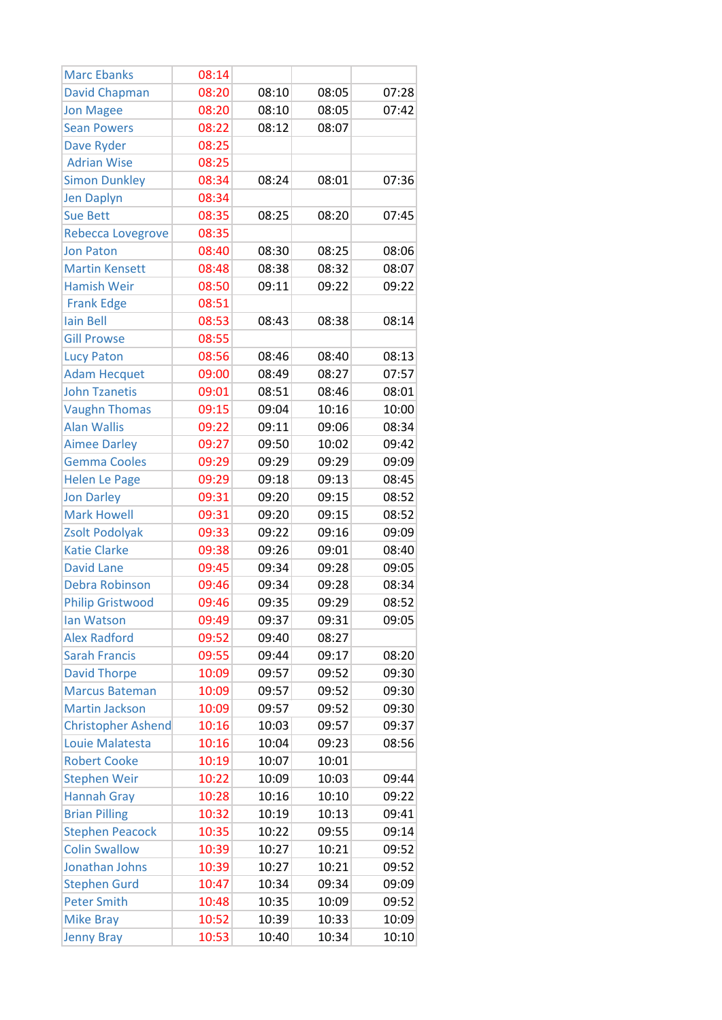| <b>Marc Ebanks</b>        | 08:14 |       |       |       |
|---------------------------|-------|-------|-------|-------|
| <b>David Chapman</b>      | 08:20 | 08:10 | 08:05 | 07:28 |
| <b>Jon Magee</b>          | 08:20 | 08:10 | 08:05 | 07:42 |
| <b>Sean Powers</b>        | 08:22 | 08:12 | 08:07 |       |
| Dave Ryder                | 08:25 |       |       |       |
| <b>Adrian Wise</b>        | 08:25 |       |       |       |
| <b>Simon Dunkley</b>      | 08:34 | 08:24 | 08:01 | 07:36 |
| <b>Jen Daplyn</b>         | 08:34 |       |       |       |
| <b>Sue Bett</b>           | 08:35 | 08:25 | 08:20 | 07:45 |
| <b>Rebecca Lovegrove</b>  | 08:35 |       |       |       |
| <b>Jon Paton</b>          | 08:40 | 08:30 | 08:25 | 08:06 |
| <b>Martin Kensett</b>     | 08:48 | 08:38 | 08:32 | 08:07 |
| <b>Hamish Weir</b>        | 08:50 | 09:11 | 09:22 | 09:22 |
| <b>Frank Edge</b>         | 08:51 |       |       |       |
| <b>lain Bell</b>          | 08:53 | 08:43 | 08:38 | 08:14 |
| <b>Gill Prowse</b>        | 08:55 |       |       |       |
| <b>Lucy Paton</b>         | 08:56 | 08:46 | 08:40 | 08:13 |
| <b>Adam Hecquet</b>       | 09:00 | 08:49 | 08:27 | 07:57 |
| <b>John Tzanetis</b>      | 09:01 | 08:51 | 08:46 | 08:01 |
| <b>Vaughn Thomas</b>      | 09:15 | 09:04 | 10:16 | 10:00 |
| <b>Alan Wallis</b>        | 09:22 | 09:11 | 09:06 | 08:34 |
| <b>Aimee Darley</b>       | 09:27 | 09:50 | 10:02 | 09:42 |
| <b>Gemma Cooles</b>       | 09:29 | 09:29 | 09:29 | 09:09 |
| <b>Helen Le Page</b>      | 09:29 | 09:18 | 09:13 | 08:45 |
| <b>Jon Darley</b>         | 09:31 | 09:20 | 09:15 | 08:52 |
| <b>Mark Howell</b>        | 09:31 | 09:20 | 09:15 | 08:52 |
| Zsolt Podolyak            | 09:33 | 09:22 | 09:16 | 09:09 |
| <b>Katie Clarke</b>       | 09:38 | 09:26 | 09:01 | 08:40 |
| <b>David Lane</b>         | 09:45 | 09:34 | 09:28 | 09:05 |
| Debra Robinson            | 09:46 | 09:34 | 09:28 | 08:34 |
| <b>Philip Gristwood</b>   | 09:46 | 09:35 | 09:29 | 08:52 |
| lan Watson                | 09:49 | 09:37 | 09:31 | 09:05 |
| <b>Alex Radford</b>       | 09:52 | 09:40 | 08:27 |       |
| <b>Sarah Francis</b>      | 09:55 | 09:44 | 09:17 | 08:20 |
| <b>David Thorpe</b>       | 10:09 | 09:57 | 09:52 | 09:30 |
| <b>Marcus Bateman</b>     | 10:09 | 09:57 | 09:52 | 09:30 |
| <b>Martin Jackson</b>     | 10:09 | 09:57 | 09:52 | 09:30 |
| <b>Christopher Ashend</b> | 10:16 | 10:03 | 09:57 | 09:37 |
| Louie Malatesta           | 10:16 | 10:04 | 09:23 | 08:56 |
| <b>Robert Cooke</b>       | 10:19 | 10:07 | 10:01 |       |
| <b>Stephen Weir</b>       | 10:22 | 10:09 | 10:03 | 09:44 |
| <b>Hannah Gray</b>        | 10:28 | 10:16 | 10:10 | 09:22 |
| <b>Brian Pilling</b>      | 10:32 | 10:19 | 10:13 | 09:41 |
| <b>Stephen Peacock</b>    | 10:35 | 10:22 | 09:55 | 09:14 |
| <b>Colin Swallow</b>      | 10:39 | 10:27 | 10:21 | 09:52 |
| Jonathan Johns            | 10:39 | 10:27 | 10:21 | 09:52 |
| <b>Stephen Gurd</b>       | 10:47 | 10:34 | 09:34 | 09:09 |
| <b>Peter Smith</b>        | 10:48 | 10:35 | 10:09 | 09:52 |
| <b>Mike Bray</b>          | 10:52 | 10:39 | 10:33 | 10:09 |
| <b>Jenny Bray</b>         | 10:53 | 10:40 | 10:34 | 10:10 |